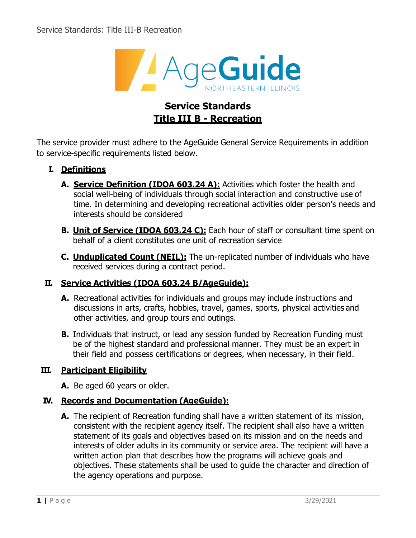

# **Service Standards Title III B - Recreation**

The service provider must adhere to the AgeGuide General Service Requirements in addition to service-specific requirements listed below.

## **I. Definitions**

- **A. Service Definition (IDOA 603.24 A):** Activities which foster the health and social well-being of individuals through social interaction and constructive use of time. In determining and developing recreational activities older person's needs and interests should be considered
- **B. Unit of Service (IDOA 603.24 C):** Each hour of staff or consultant time spent on behalf of a client constitutes one unit of recreation service
- **C. Unduplicated Count (NEIL):** The un-replicated number of individuals who have received services during a contract period.

### **II. Service Activities (IDOA 603.24 B/AgeGuide):**

- **A.** Recreational activities for individuals and groups may include instructions and discussions in arts, crafts, hobbies, travel, games, sports, physical activities and other activities, and group tours and outings.
- **B.** Individuals that instruct, or lead any session funded by Recreation Funding must be of the highest standard and professional manner. They must be an expert in their field and possess certifications or degrees, when necessary, in their field.

### **III. Participant Eligibility**

**A.** Be aged 60 years or older.

### **IV. Records and Documentation (AgeGuide):**

**A.** The recipient of Recreation funding shall have a written statement of its mission, consistent with the recipient agency itself. The recipient shall also have a written statement of its goals and objectives based on its mission and on the needs and interests of older adults in its community or service area. The recipient will have a written action plan that describes how the programs will achieve goals and objectives. These statements shall be used to guide the character and direction of the agency operations and purpose.